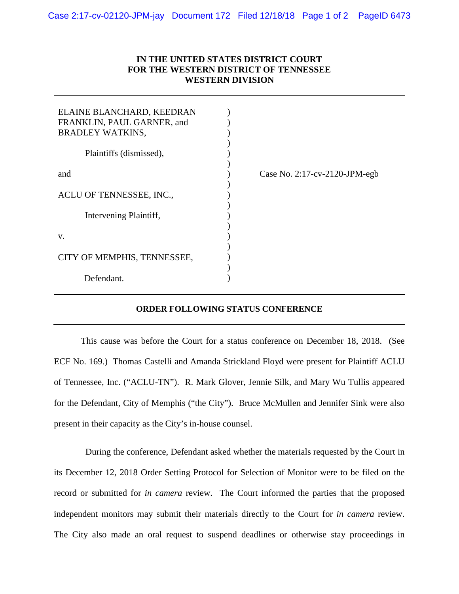## **IN THE UNITED STATES DISTRICT COURT FOR THE WESTERN DISTRICT OF TENNESSEE WESTERN DIVISION**

| ELAINE BLANCHARD, KEEDRAN<br>FRANKLIN, PAUL GARNER, and<br><b>BRADLEY WATKINS,</b> |                               |
|------------------------------------------------------------------------------------|-------------------------------|
| Plaintiffs (dismissed),                                                            |                               |
| and                                                                                | Case No. 2:17-cv-2120-JPM-egb |
| ACLU OF TENNESSEE, INC.,                                                           |                               |
| Intervening Plaintiff,                                                             |                               |
| V.                                                                                 |                               |
| CITY OF MEMPHIS, TENNESSEE,                                                        |                               |
| Defendant.                                                                         |                               |

## **ORDER FOLLOWING STATUS CONFERENCE**

This cause was before the Court for a status conference on December 18, 2018. (See ECF No. 169.) Thomas Castelli and Amanda Strickland Floyd were present for Plaintiff ACLU of Tennessee, Inc. ("ACLU-TN"). R. Mark Glover, Jennie Silk, and Mary Wu Tullis appeared for the Defendant, City of Memphis ("the City"). Bruce McMullen and Jennifer Sink were also present in their capacity as the City's in-house counsel.

 During the conference, Defendant asked whether the materials requested by the Court in its December 12, 2018 Order Setting Protocol for Selection of Monitor were to be filed on the record or submitted for *in camera* review. The Court informed the parties that the proposed independent monitors may submit their materials directly to the Court for *in camera* review. The City also made an oral request to suspend deadlines or otherwise stay proceedings in